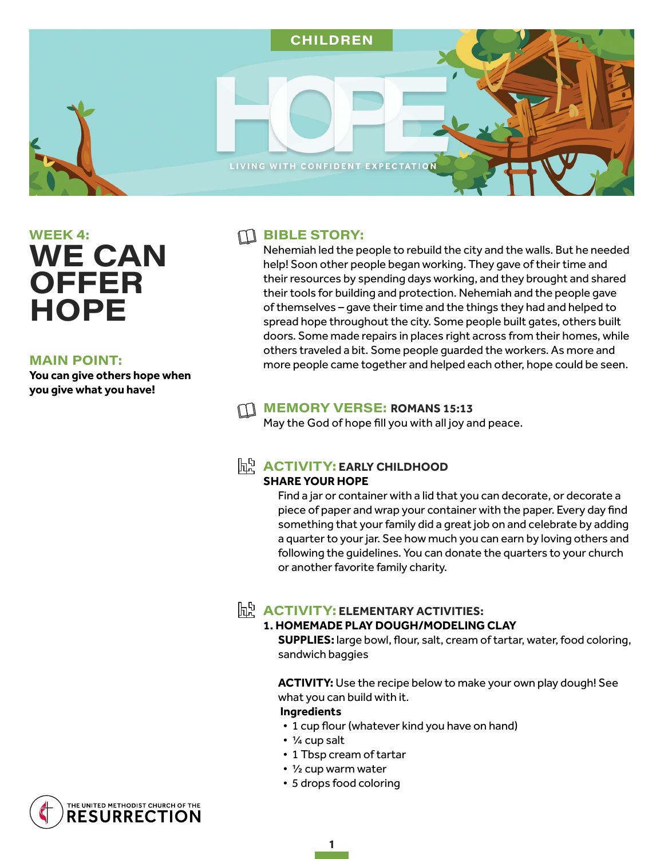

# WEEK 4: **WE CAN OFFER HOPE**

### **MAIN POINT:**

**You can give others hope when you give what you have!** 

### $\Box$  BIBLE STORY:

Nehemiah led the people to rebuild the city and the walls. But he needed help! Soon other people began working. They gave of their time and their resources by spending days working, and they brought and shared their tools for building and protection. Nehemiah and the people gave of themselves – gave their time and the things they had and helped to spread hope throughout the city. Some people built gates, others built doors. Some made repairs in places right across from their homes, while others traveled a bit. Some people guarded the workers. As more and more people came together and helped each other, hope could be seen.

### **MEMORY VERSE: ROMANS 15:13**

May the God of hope fill you with all joy and peace.

### $\mathbb{R}^{\mathbb{N}}$  **ACTIVITY: EARLY CHILDHOOD**

### **SHARE YOUR HOPE**

Find a jar or container with a lid that you can decorate, or decorate a piece of paper and wrap your container with the paper. Every day find something that your family did a great job on and celebrate by adding a quarter to your jar. See how much you can earn by loving others and following the guidelines. You can donate the quarters to your church or another favorite family charity.

## $\mathbb{R}^{\mathbb{N}}$  **ACTIVITY: ELEMENTARY ACTIVITIES:**

### **1. HOMEMADE PLAY DOUGH/MODELING CLAY**

**SUPPLIES:** large bowl, flour, salt, cream of tartar, water, food coloring, sandwich baggies

**ACTIVITY:** Use the recipe below to make your own play dough! See what you can build with it.

### **Ingredients**

- 1 cup flour (whatever kind you have on hand)
- ¼ cup salt
- 1 Tbsp cream of tartar
- ½ cup warm water

1

• 5 drops food coloring